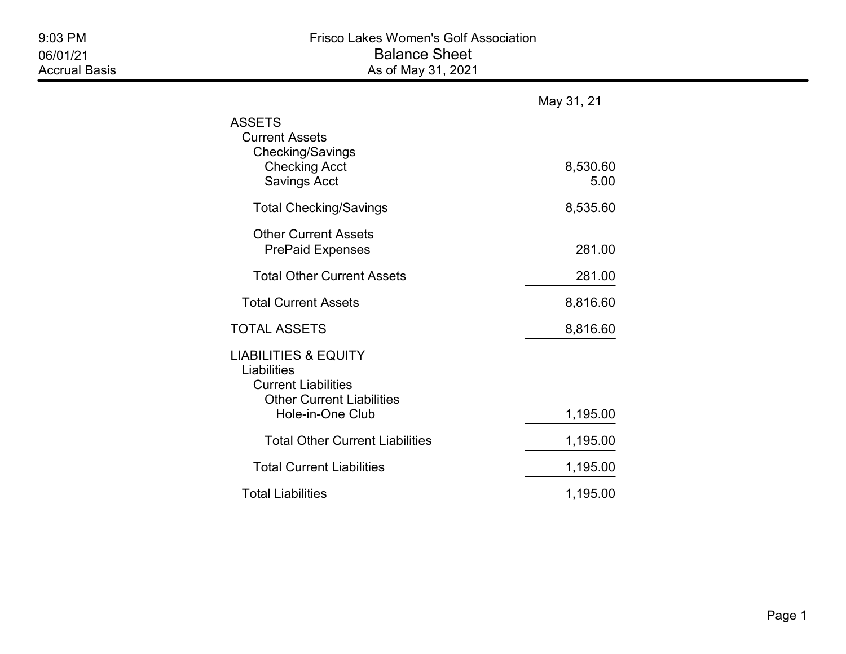|                                                                                                                                      | May 31, 21       |
|--------------------------------------------------------------------------------------------------------------------------------------|------------------|
| ASSETS<br><b>Current Assets</b><br>Checking/Savings<br><b>Checking Acct</b><br><b>Savings Acct</b>                                   | 8,530.60<br>5.00 |
| <b>Total Checking/Savings</b>                                                                                                        | 8,535.60         |
| <b>Other Current Assets</b><br><b>PrePaid Expenses</b>                                                                               | 281.00           |
| <b>Total Other Current Assets</b>                                                                                                    | 281.00           |
| <b>Total Current Assets</b>                                                                                                          | 8,816.60         |
| TOTAL ASSETS                                                                                                                         | 8,816.60         |
| <b>LIABILITIES &amp; EQUITY</b><br>Liabilities<br><b>Current Liabilities</b><br><b>Other Current Liabilities</b><br>Hole-in-One Club | 1,195.00         |
| <b>Total Other Current Liabilities</b>                                                                                               | 1,195.00         |
| <b>Total Current Liabilities</b>                                                                                                     | 1,195.00         |
| <b>Total Liabilities</b>                                                                                                             | 1,195.00         |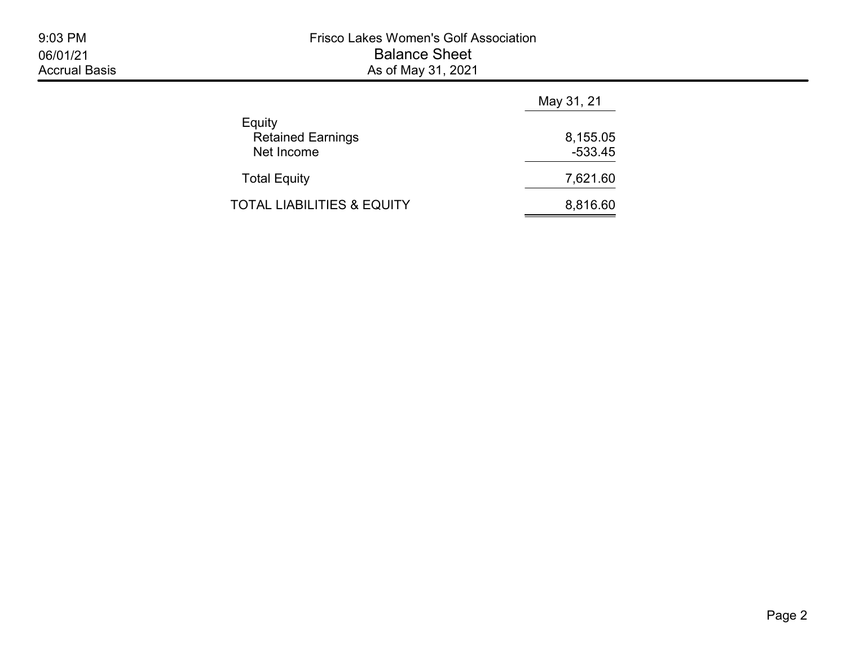| 9:03 PM              |
|----------------------|
| 06/01/21             |
| <b>Accrual Basis</b> |

|                                                  | May 31, 21            |
|--------------------------------------------------|-----------------------|
| Equity<br><b>Retained Earnings</b><br>Net Income | 8,155.05<br>$-533.45$ |
| <b>Total Equity</b>                              | 7,621.60              |
| <b>TOTAL LIABILITIES &amp; EQUITY</b>            | 8,816.60              |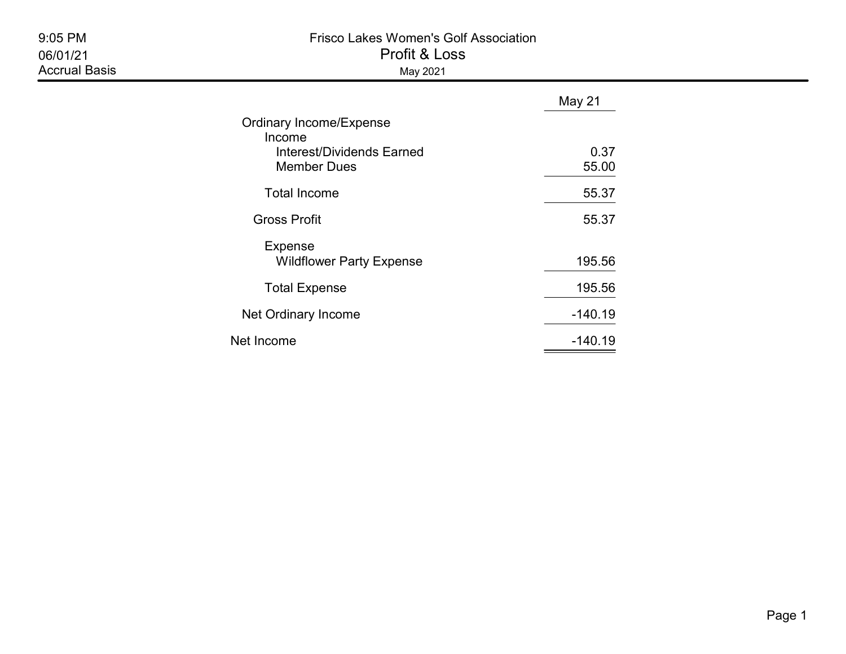| 9:05 PM<br>06/01/21<br><b>Accrual Basis</b> | <b>Frisco Lakes Women's Golf Association</b><br>Profit & Loss<br>May 2021                   |               |  |  |
|---------------------------------------------|---------------------------------------------------------------------------------------------|---------------|--|--|
|                                             |                                                                                             | May 21        |  |  |
|                                             | Ordinary Income/Expense<br>Income<br><b>Interest/Dividends Earned</b><br><b>Member Dues</b> | 0.37<br>55.00 |  |  |
|                                             | <b>Total Income</b>                                                                         | 55.37         |  |  |
|                                             | <b>Gross Profit</b>                                                                         | 55.37         |  |  |
|                                             | <b>Expense</b><br><b>Wildflower Party Expense</b>                                           | 195.56        |  |  |
|                                             | <b>Total Expense</b>                                                                        | 195.56        |  |  |
|                                             | Net Ordinary Income                                                                         | $-140.19$     |  |  |
|                                             | Net Income                                                                                  | $-140.19$     |  |  |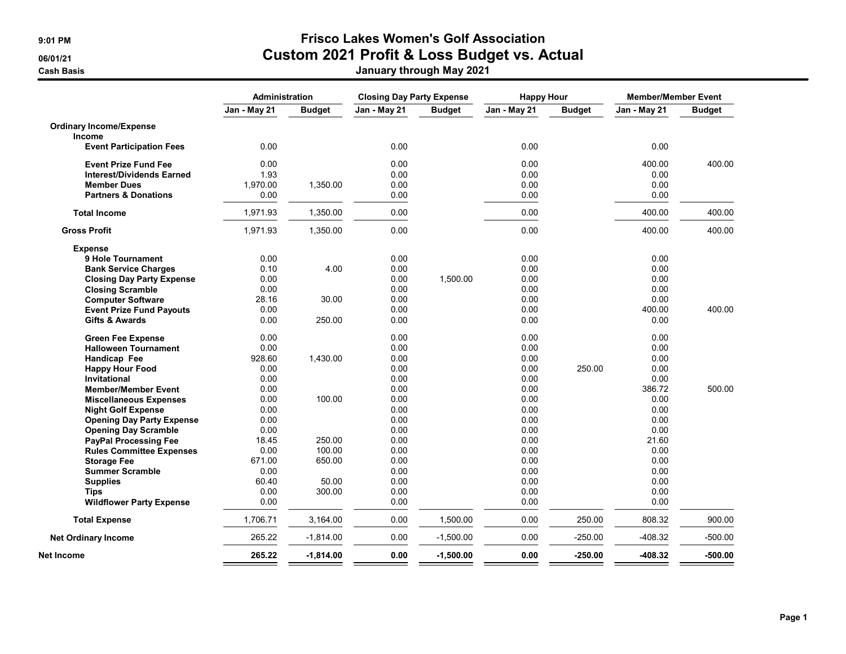**Cash Basis** 

## 9:01 PM Frisco Lakes Women's Golf Association 06/01/21 Custom 2021 Profit & Loss Budget vs. Actual

|  | January through May 2021 |
|--|--------------------------|
|  |                          |

|                                  | Administration |               | <b>Closing Day Party Expense</b> |               |              | <b>Happy Hour</b><br><b>Member/Member Event</b> |              |               |
|----------------------------------|----------------|---------------|----------------------------------|---------------|--------------|-------------------------------------------------|--------------|---------------|
|                                  | Jan - May 21   | <b>Budget</b> | Jan - May 21                     | <b>Budget</b> | Jan - May 21 | <b>Budget</b>                                   | Jan - May 21 | <b>Budget</b> |
| <b>Ordinary Income/Expense</b>   |                |               |                                  |               |              |                                                 |              |               |
| Income                           |                |               |                                  |               |              |                                                 |              |               |
| <b>Event Participation Fees</b>  | 0.00           |               | 0.00                             |               | 0.00         |                                                 | 0.00         |               |
| <b>Event Prize Fund Fee</b>      | 0.00           |               | 0.00                             |               | 0.00         |                                                 | 400.00       | 400.00        |
| <b>Interest/Dividends Earned</b> | 1.93           |               | 0.00                             |               | 0.00         |                                                 | 0.00         |               |
| <b>Member Dues</b>               | 1,970.00       | 1,350.00      | 0.00                             |               | 0.00         |                                                 | 0.00         |               |
| <b>Partners &amp; Donations</b>  | 0.00           |               | 0.00                             |               | 0.00         |                                                 | 0.00         |               |
| <b>Total Income</b>              | 1,971.93       | 1,350.00      | 0.00                             |               | 0.00         |                                                 | 400.00       | 400.00        |
| <b>Gross Profit</b>              | 1,971.93       | 1,350.00      | 0.00                             |               | 0.00         |                                                 | 400.00       | 400.00        |
| <b>Expense</b>                   |                |               |                                  |               |              |                                                 |              |               |
| 9 Hole Tournament                | 0.00           |               | 0.00                             |               | 0.00         |                                                 | 0.00         |               |
| <b>Bank Service Charges</b>      | 0.10           | 4.00          | 0.00                             |               | 0.00         |                                                 | 0.00         |               |
| <b>Closing Day Party Expense</b> | 0.00           |               | 0.00                             | 1,500.00      | 0.00         |                                                 | 0.00         |               |
| <b>Closing Scramble</b>          | 0.00           |               | 0.00                             |               | 0.00         |                                                 | 0.00         |               |
| <b>Computer Software</b>         | 28.16          | 30.00         | 0.00                             |               | 0.00         |                                                 | 0.00         |               |
| <b>Event Prize Fund Payouts</b>  | 0.00           |               | 0.00                             |               | 0.00         |                                                 | 400.00       | 400.00        |
| <b>Gifts &amp; Awards</b>        | 0.00           | 250.00        | 0.00                             |               | 0.00         |                                                 | 0.00         |               |
| <b>Green Fee Expense</b>         | 0.00           |               | 0.00                             |               | 0.00         |                                                 | 0.00         |               |
| <b>Halloween Tournament</b>      | 0.00           |               | 0.00                             |               | 0.00         |                                                 | 0.00         |               |
| Handicap Fee                     | 928.60         | 1,430.00      | 0.00                             |               | 0.00         |                                                 | 0.00         |               |
| <b>Happy Hour Food</b>           | 0.00           |               | 0.00                             |               | 0.00         | 250.00                                          | 0.00         |               |
| <b>Invitational</b>              | 0.00           |               | 0.00                             |               | 0.00         |                                                 | 0.00         |               |
| <b>Member/Member Event</b>       | 0.00           |               | 0.00                             |               | 0.00         |                                                 | 386.72       | 500.00        |
| <b>Miscellaneous Expenses</b>    | 0.00           | 100.00        | 0.00                             |               | 0.00         |                                                 | 0.00         |               |
| <b>Night Golf Expense</b>        | 0.00           |               | 0.00                             |               | 0.00         |                                                 | 0.00         |               |
| <b>Opening Day Party Expense</b> | 0.00           |               | 0.00                             |               | 0.00         |                                                 | 0.00         |               |
| <b>Opening Day Scramble</b>      | 0.00           |               | 0.00                             |               | 0.00         |                                                 | 0.00         |               |
| <b>PayPal Processing Fee</b>     | 18.45          | 250.00        | 0.00                             |               | 0.00         |                                                 | 21.60        |               |
| <b>Rules Committee Expenses</b>  | 0.00           | 100.00        | 0.00                             |               | 0.00         |                                                 | 0.00         |               |
| <b>Storage Fee</b>               | 671.00         | 650.00        | 0.00                             |               | 0.00         |                                                 | 0.00         |               |
| <b>Summer Scramble</b>           | 0.00           |               | 0.00                             |               | 0.00         |                                                 | 0.00         |               |
| <b>Supplies</b>                  | 60.40          | 50.00         | 0.00                             |               | 0.00         |                                                 | 0.00         |               |
| <b>Tips</b>                      | 0.00           | 300.00        | 0.00                             |               | 0.00         |                                                 | 0.00         |               |
| <b>Wildflower Party Expense</b>  | 0.00           |               | 0.00                             |               | 0.00         |                                                 | 0.00         |               |
| <b>Total Expense</b>             | 1,706.71       | 3,164.00      | 0.00                             | 1,500.00      | 0.00         | 250.00                                          | 808.32       | 900.00        |
| <b>Net Ordinary Income</b>       | 265.22         | $-1,814.00$   | 0.00                             | $-1,500.00$   | 0.00         | $-250.00$                                       | $-408.32$    | $-500.00$     |
| Net Income                       | 265.22         | $-1,814.00$   | 0.00                             | $-1,500.00$   | 0.00         | $-250.00$                                       | -408.32      | -500.00       |